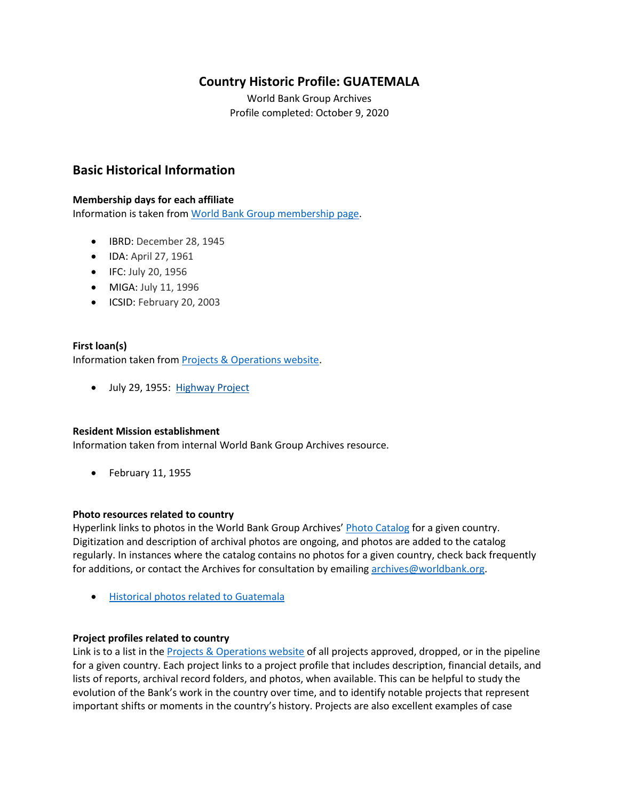## **Country Historic Profile: GUATEMALA**

World Bank Group Archives Profile completed: October 9, 2020

## **Basic Historical Information**

#### **Membership days for each affiliate**

Information is taken from [World Bank Group membership page.](https://www.worldbank.org/en/about/leadership/members#1)

- IBRD: December 28, 1945
- IDA: April 27, 1961
- IFC: July 20, 1956
- MIGA: July 11, 1996
- ICSID: February 20, 2003

#### **First loan(s)**

Information taken from [Projects & Operations website.](https://projects.worldbank.org/)

• July 29, 1955: [Highway Project](https://projects.worldbank.org/en/projects-operations/project-detail/P007179)

#### **Resident Mission establishment**

Information taken from internal World Bank Group Archives resource.

• February 11, 1955

#### **Photo resources related to country**

Hyperlink links to photos in the World Bank Group Archives' [Photo Catalog](https://archivesphotos.worldbank.org/en/about/archives/photo-gallery) for a given country. Digitization and description of archival photos are ongoing, and photos are added to the catalog regularly. In instances where the catalog contains no photos for a given country, check back frequently for additions, or contact the Archives for consultation by emailing [archives@worldbank.org.](mailto:archives@worldbank.org)

• [Historical photos related to](https://archivesphotos.worldbank.org/en/about/archives/photo-gallery/photo-gallery-landing) Guatemala

#### **Project profiles related to country**

Link is to a list in the **Projects & Operations website of all projects approved**, dropped, or in the pipeline for a given country. Each project links to a project profile that includes description, financial details, and lists of reports, archival record folders, and photos, when available. This can be helpful to study the evolution of the Bank's work in the country over time, and to identify notable projects that represent important shifts or moments in the country's history. Projects are also excellent examples of case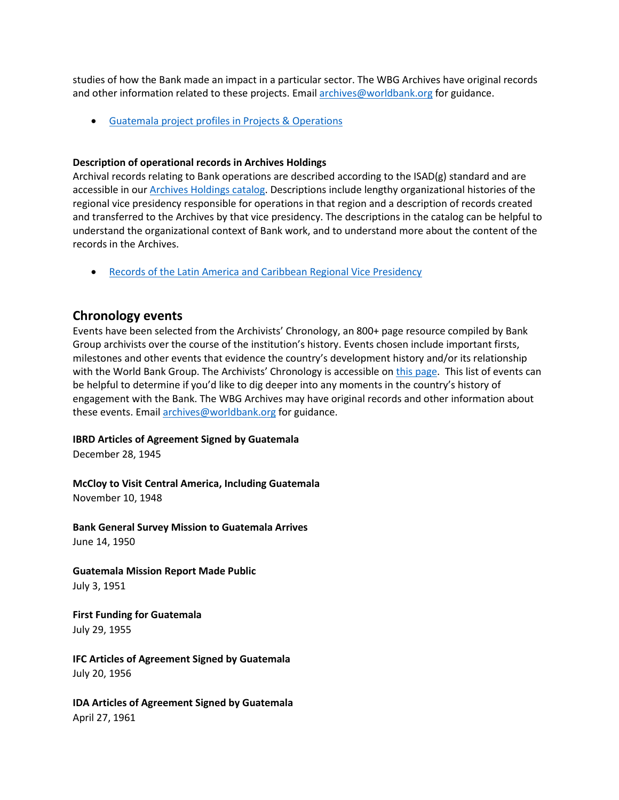studies of how the Bank made an impact in a particular sector. The WBG Archives have original records and other information related to these projects. Email [archives@worldbank.org](mailto:archives@worldbank.org) for guidance.

• Guatemala [project profiles in Projects & Operations](https://projects.worldbank.org/en/projects-operations/projects-summary?countrycode_exact=GT) 

#### **Description of operational records in Archives Holdings**

Archival records relating to Bank operations are described according to the ISAD(g) standard and are accessible in our [Archives Holdings catalog.](https://archivesholdings.worldbank.org/) Descriptions include lengthy organizational histories of the regional vice presidency responsible for operations in that region and a description of records created and transferred to the Archives by that vice presidency. The descriptions in the catalog can be helpful to understand the organizational context of Bank work, and to understand more about the content of the records in the Archives.

• [Records of the Latin America and Caribbean Regional Vice Presidency](https://archivesholdings.worldbank.org/records-of-latin-america-and-caribbean-regional-vice-presidency)

## **Chronology events**

Events have been selected from the Archivists' Chronology, an 800+ page resource compiled by Bank Group archivists over the course of the institution's history. Events chosen include important firsts, milestones and other events that evidence the country's development history and/or its relationship with the World Bank Group. The Archivists' Chronology is accessible on [this page.](https://www.worldbank.org/en/about/archives/history/timeline) This list of events can be helpful to determine if you'd like to dig deeper into any moments in the country's history of engagement with the Bank. The WBG Archives may have original records and other information about these events. Email [archives@worldbank.org](mailto:archives@worldbank.org) for guidance.

#### **IBRD Articles of Agreement Signed by Guatemala**

December 28, 1945

**McCloy to Visit Central America, Including Guatemala** November 10, 1948

**Bank General Survey Mission to Guatemala Arrives** June 14, 1950

**Guatemala Mission Report Made Public**  July 3, 1951

**First Funding for Guatemala** July 29, 1955

**IFC Articles of Agreement Signed by Guatemala** July 20, 1956

**IDA Articles of Agreement Signed by Guatemala** April 27, 1961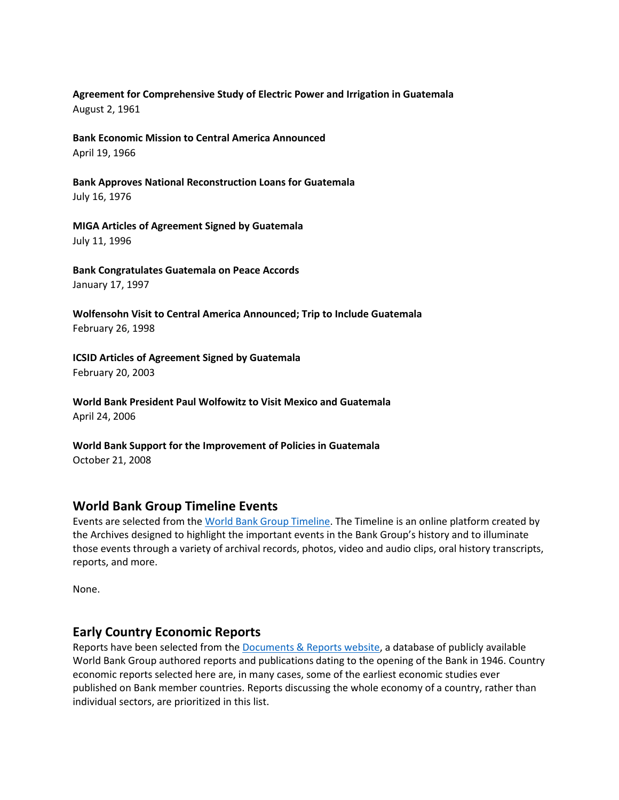#### **Agreement for Comprehensive Study of Electric Power and Irrigation in Guatemala** August 2, 1961

**Bank Economic Mission to Central America Announced** April 19, 1966

**Bank Approves National Reconstruction Loans for Guatemala** July 16, 1976

**MIGA Articles of Agreement Signed by Guatemala** July 11, 1996

**Bank Congratulates Guatemala on Peace Accords** January 17, 1997

**Wolfensohn Visit to Central America Announced; Trip to Include Guatemala** February 26, 1998

**ICSID Articles of Agreement Signed by Guatemala** February 20, 2003

**World Bank President Paul Wolfowitz to Visit Mexico and Guatemala** April 24, 2006

**World Bank Support for the Improvement of Policies in Guatemala** October 21, 2008

## **World Bank Group Timeline Events**

Events are selected from th[e World Bank Group Timeline.](https://timeline.worldbank.org/#event-bretton-woods-conference-begins) The Timeline is an online platform created by the Archives designed to highlight the important events in the Bank Group's history and to illuminate those events through a variety of archival records, photos, video and audio clips, oral history transcripts, reports, and more.

None.

# **Early Country Economic Reports**

Reports have been selected from the [Documents & Reports website,](https://documents.worldbank.org/) a database of publicly available World Bank Group authored reports and publications dating to the opening of the Bank in 1946. Country economic reports selected here are, in many cases, some of the earliest economic studies ever published on Bank member countries. Reports discussing the whole economy of a country, rather than individual sectors, are prioritized in this list.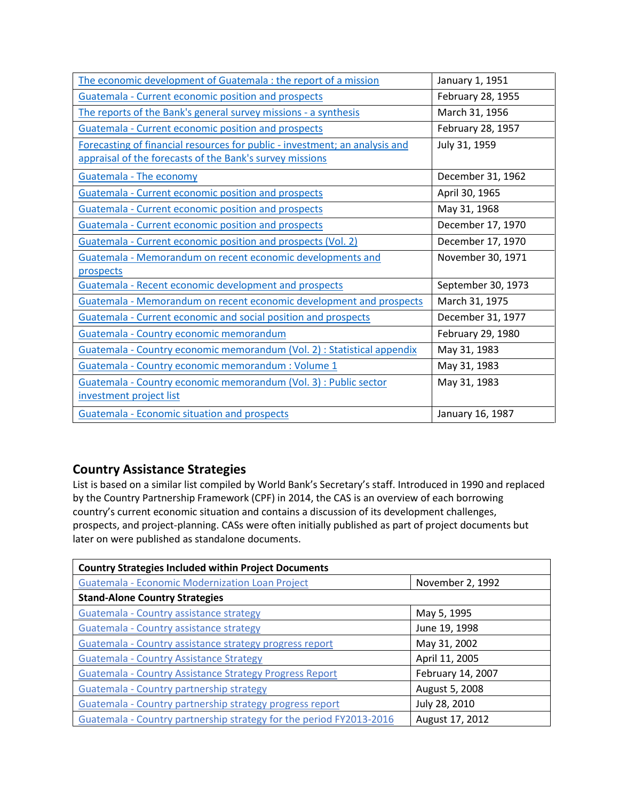| The economic development of Guatemala : the report of a mission             | January 1, 1951    |
|-----------------------------------------------------------------------------|--------------------|
| <b>Guatemala - Current economic position and prospects</b>                  | February 28, 1955  |
| The reports of the Bank's general survey missions - a synthesis             | March 31, 1956     |
| Guatemala - Current economic position and prospects                         | February 28, 1957  |
| Forecasting of financial resources for public - investment; an analysis and | July 31, 1959      |
| appraisal of the forecasts of the Bank's survey missions                    |                    |
| <b>Guatemala - The economy</b>                                              | December 31, 1962  |
| Guatemala - Current economic position and prospects                         | April 30, 1965     |
| <b>Guatemala - Current economic position and prospects</b>                  | May 31, 1968       |
| Guatemala - Current economic position and prospects                         | December 17, 1970  |
| Guatemala - Current economic position and prospects (Vol. 2)                | December 17, 1970  |
| Guatemala - Memorandum on recent economic developments and                  | November 30, 1971  |
| prospects                                                                   |                    |
| Guatemala - Recent economic development and prospects                       | September 30, 1973 |
| Guatemala - Memorandum on recent economic development and prospects         | March 31, 1975     |
| Guatemala - Current economic and social position and prospects              | December 31, 1977  |
| Guatemala - Country economic memorandum                                     | February 29, 1980  |
| Guatemala - Country economic memorandum (Vol. 2) : Statistical appendix     | May 31, 1983       |
| Guatemala - Country economic memorandum : Volume 1                          | May 31, 1983       |
| Guatemala - Country economic memorandum (Vol. 3) : Public sector            | May 31, 1983       |
| investment project list                                                     |                    |
| <b>Guatemala - Economic situation and prospects</b>                         | January 16, 1987   |

# **Country Assistance Strategies**

List is based on a similar list compiled by World Bank's Secretary's staff. Introduced in 1990 and replaced by the Country Partnership Framework (CPF) in 2014, the CAS is an overview of each borrowing country's current economic situation and contains a discussion of its development challenges, prospects, and project-planning. CASs were often initially published as part of project documents but later on were published as standalone documents.

| <b>Country Strategies Included within Project Documents</b>         |                   |  |
|---------------------------------------------------------------------|-------------------|--|
| <b>Guatemala - Economic Modernization Loan Project</b>              | November 2, 1992  |  |
| <b>Stand-Alone Country Strategies</b>                               |                   |  |
| Guatemala - Country assistance strategy                             | May 5, 1995       |  |
| Guatemala - Country assistance strategy                             | June 19, 1998     |  |
| Guatemala - Country assistance strategy progress report             | May 31, 2002      |  |
| <b>Guatemala - Country Assistance Strategy</b>                      | April 11, 2005    |  |
| Guatemala - Country Assistance Strategy Progress Report             | February 14, 2007 |  |
| Guatemala - Country partnership strategy                            | August 5, 2008    |  |
| Guatemala - Country partnership strategy progress report            | July 28, 2010     |  |
| Guatemala - Country partnership strategy for the period FY2013-2016 | August 17, 2012   |  |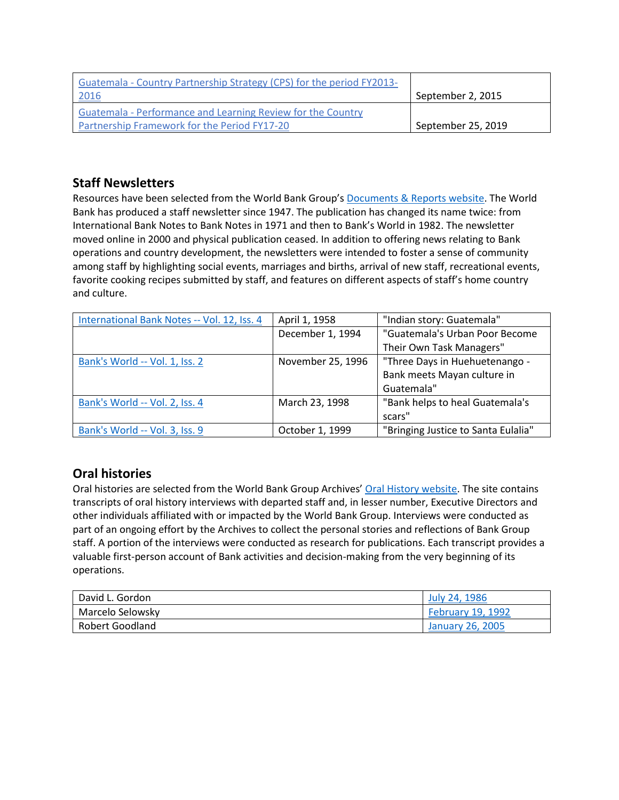| Guatemala - Country Partnership Strategy (CPS) for the period FY2013- |                    |
|-----------------------------------------------------------------------|--------------------|
| <u> 2016</u>                                                          | September 2, 2015  |
| Guatemala - Performance and Learning Review for the Country           |                    |
| Partnership Framework for the Period FY17-20                          | September 25, 2019 |

## **Staff Newsletters**

Resources have been selected from the World Bank Group's [Documents & Reports website.](https://documents.worldbank.org/) The World Bank has produced a staff newsletter since 1947. The publication has changed its name twice: from International Bank Notes to Bank Notes in 1971 and then to Bank's World in 1982. The newsletter moved online in 2000 and physical publication ceased. In addition to offering news relating to Bank operations and country development, the newsletters were intended to foster a sense of community among staff by highlighting social events, marriages and births, arrival of new staff, recreational events, favorite cooking recipes submitted by staff, and features on different aspects of staff's home country and culture.

| International Bank Notes -- Vol. 12, Iss. 4 | April 1, 1958     | "Indian story: Guatemala"           |
|---------------------------------------------|-------------------|-------------------------------------|
|                                             | December 1, 1994  | "Guatemala's Urban Poor Become      |
|                                             |                   | Their Own Task Managers"            |
| Bank's World -- Vol. 1, Iss. 2              | November 25, 1996 | "Three Days in Huehuetenango -      |
|                                             |                   | Bank meets Mayan culture in         |
|                                             |                   | Guatemala"                          |
| Bank's World -- Vol. 2, Iss. 4              | March 23, 1998    | "Bank helps to heal Guatemala's     |
|                                             |                   | scars"                              |
| Bank's World -- Vol. 3, Iss. 9              | October 1, 1999   | "Bringing Justice to Santa Eulalia" |

# **Oral histories**

Oral histories are selected from the World Bank Group Archives' [Oral History website.](https://oralhistory.worldbank.org/) The site contains transcripts of oral history interviews with departed staff and, in lesser number, Executive Directors and other individuals affiliated with or impacted by the World Bank Group. Interviews were conducted as part of an ongoing effort by the Archives to collect the personal stories and reflections of Bank Group staff. A portion of the interviews were conducted as research for publications. Each transcript provides a valuable first-person account of Bank activities and decision-making from the very beginning of its operations.

| David L. Gordon  | July 24, 1986            |
|------------------|--------------------------|
| Marcelo Selowsky | <b>February 19, 1992</b> |
| Robert Goodland  | January 26, 2005         |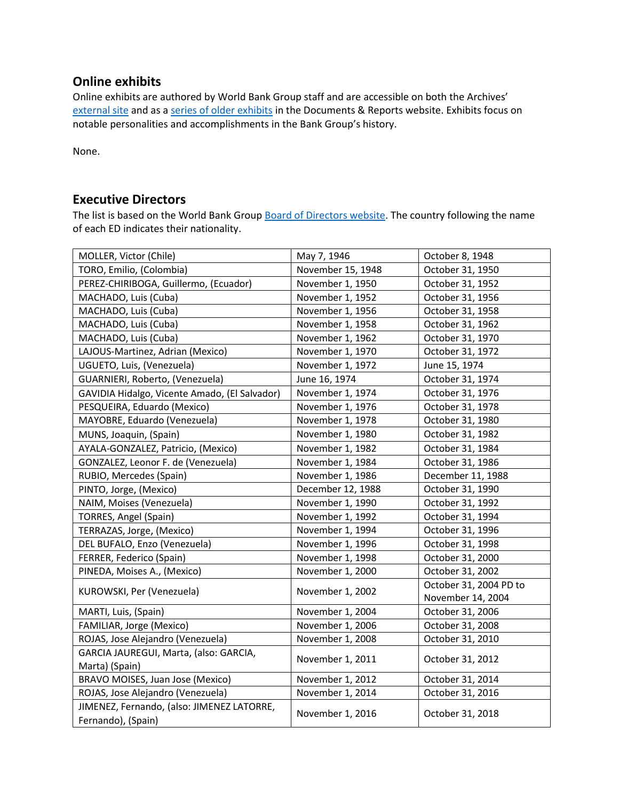## **Online exhibits**

Online exhibits are authored by World Bank Group staff and are accessible on both the Archives' [external site](https://www.worldbank.org/en/about/archives/history/exhibits) and as a [series of older exhibits](https://documents.worldbank.org/en/publication/documents-reports/documentlist?colti=World%20Bank%20Group%20Archives%20exhibit%20series) in the Documents & Reports website. Exhibits focus on notable personalities and accomplishments in the Bank Group's history.

None.

### **Executive Directors**

The list is based on the World Bank Group [Board of Directors website.](https://worldbankgroup.sharepoint.com/sites/wbsites/ExecutiveBoard/Pages/pc/About-the-Boards-05222019-155532/List-of-Executi-05222019-155839.aspx) The country following the name of each ED indicates their nationality.

| MOLLER, Victor (Chile)                                           | May 7, 1946       | October 8, 1948        |
|------------------------------------------------------------------|-------------------|------------------------|
| TORO, Emilio, (Colombia)                                         | November 15, 1948 | October 31, 1950       |
| PEREZ-CHIRIBOGA, Guillermo, (Ecuador)                            | November 1, 1950  | October 31, 1952       |
| MACHADO, Luis (Cuba)                                             | November 1, 1952  | October 31, 1956       |
| MACHADO, Luis (Cuba)                                             | November 1, 1956  | October 31, 1958       |
| MACHADO, Luis (Cuba)                                             | November 1, 1958  | October 31, 1962       |
| MACHADO, Luis (Cuba)                                             | November 1, 1962  | October 31, 1970       |
| LAJOUS-Martinez, Adrian (Mexico)                                 | November 1, 1970  | October 31, 1972       |
| UGUETO, Luis, (Venezuela)                                        | November 1, 1972  | June 15, 1974          |
| GUARNIERI, Roberto, (Venezuela)                                  | June 16, 1974     | October 31, 1974       |
| GAVIDIA Hidalgo, Vicente Amado, (El Salvador)                    | November 1, 1974  | October 31, 1976       |
| PESQUEIRA, Eduardo (Mexico)                                      | November 1, 1976  | October 31, 1978       |
| MAYOBRE, Eduardo (Venezuela)                                     | November 1, 1978  | October 31, 1980       |
| MUNS, Joaquin, (Spain)                                           | November 1, 1980  | October 31, 1982       |
| AYALA-GONZALEZ, Patricio, (Mexico)                               | November 1, 1982  | October 31, 1984       |
| GONZALEZ, Leonor F. de (Venezuela)                               | November 1, 1984  | October 31, 1986       |
| RUBIO, Mercedes (Spain)                                          | November 1, 1986  | December 11, 1988      |
| PINTO, Jorge, (Mexico)                                           | December 12, 1988 | October 31, 1990       |
| NAIM, Moises (Venezuela)                                         | November 1, 1990  | October 31, 1992       |
| TORRES, Angel (Spain)                                            | November 1, 1992  | October 31, 1994       |
| TERRAZAS, Jorge, (Mexico)                                        | November 1, 1994  | October 31, 1996       |
| DEL BUFALO, Enzo (Venezuela)                                     | November 1, 1996  | October 31, 1998       |
| FERRER, Federico (Spain)                                         | November 1, 1998  | October 31, 2000       |
| PINEDA, Moises A., (Mexico)                                      | November 1, 2000  | October 31, 2002       |
| KUROWSKI, Per (Venezuela)                                        | November 1, 2002  | October 31, 2004 PD to |
|                                                                  |                   | November 14, 2004      |
| MARTI, Luis, (Spain)                                             | November 1, 2004  | October 31, 2006       |
| FAMILIAR, Jorge (Mexico)                                         | November 1, 2006  | October 31, 2008       |
| ROJAS, Jose Alejandro (Venezuela)                                | November 1, 2008  | October 31, 2010       |
| GARCIA JAUREGUI, Marta, (also: GARCIA,                           | November 1, 2011  | October 31, 2012       |
| Marta) (Spain)                                                   |                   |                        |
| BRAVO MOISES, Juan Jose (Mexico)                                 | November 1, 2012  | October 31, 2014       |
| ROJAS, Jose Alejandro (Venezuela)                                | November 1, 2014  | October 31, 2016       |
| JIMENEZ, Fernando, (also: JIMENEZ LATORRE,<br>Fernando), (Spain) | November 1, 2016  | October 31, 2018       |